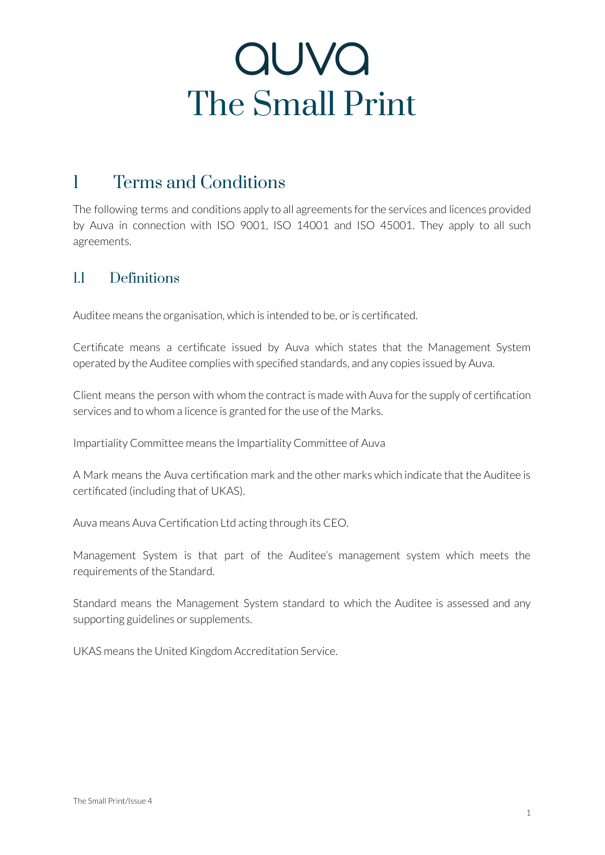### 1 Terms and Conditions

The following terms and conditions apply to all agreements forthe services and licences provided by Auva in connection with ISO 9001, ISO 14001 and ISO 45001. They apply to all such agreements.

#### 1.1 Definitions

Auditee means the organisation, which is intended to be, or is certificated.

Certificate means a certificate issued by Auva which states that the Management System operated by the Auditee complies with specified standards, and any copies issued by Auva.

Client means the person with whom the contract is made with Auva forthe supply of certification services and to whom a licence is granted for the use of the Marks.

Impartiality Committee means the Impartiality Committee of Auva

A Mark means the Auva certification mark and the other marks which indicate that the Auditee is certificated (including that of UKAS).

Auva means Auva Certification Ltd acting through its CEO.

Management System is that part of the Auditee's management system which meets the requirements of the Standard.

Standard means the Management System standard to which the Auditee is assessed and any supporting guidelines or supplements.

UKAS means the United Kingdom Accreditation Service.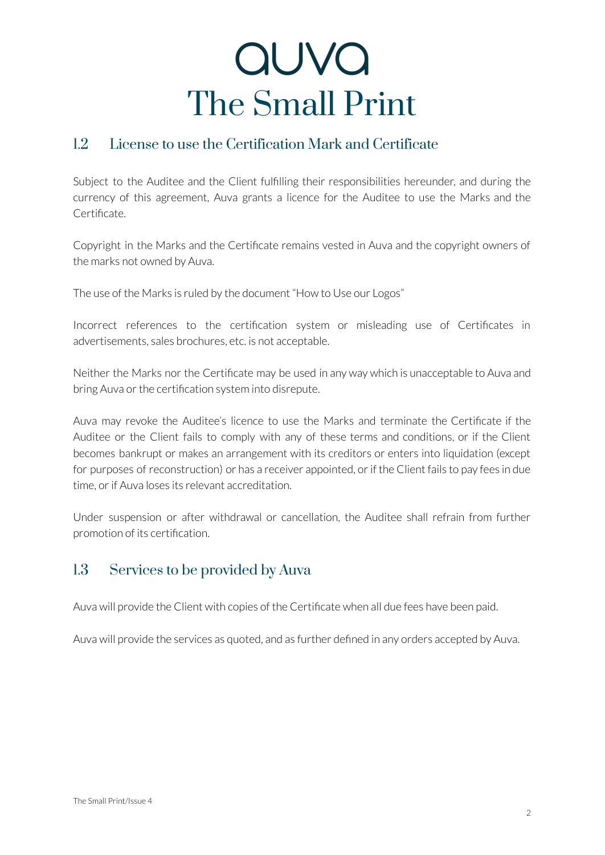#### 1.2 License to use the Certification Mark and Certificate

Subject to the Auditee and the Client fulfilling their responsibilities hereunder, and during the currency of this agreement, Auva grants a licence for the Auditee to use the Marks and the Certificate.

Copyright in the Marks and the Certificate remains vested in Auva and the copyright owners of the marks not owned by Auva.

The use of the Marks is ruled by the document "How to Use our Logos"

Incorrect references to the certification system or misleading use of Certificates in advertisements, sales brochures, etc. is not acceptable.

Neither the Marks nor the Certificate may be used in any way which is unacceptable to Auva and bring Auva or the certification system into disrepute.

Auva may revoke the Auditee's licence to use the Marks and terminate the Certificate if the Auditee or the Client fails to comply with any of these terms and conditions, or if the Client becomes bankrupt or makes an arrangement with its creditors or enters into liquidation (except for purposes of reconstruction) or has a receiver appointed, or if the Client fails to pay fees in due time, or if Auva loses its relevant accreditation.

Under suspension or after withdrawal or cancellation, the Auditee shall refrain from further promotion of its certification.

### 1.3 Services to be provided by Auva

Auva will provide the Client with copies of the Certificate when all due fees have been paid.

Auva will provide the services as quoted, and as further defined in any orders accepted by Auva.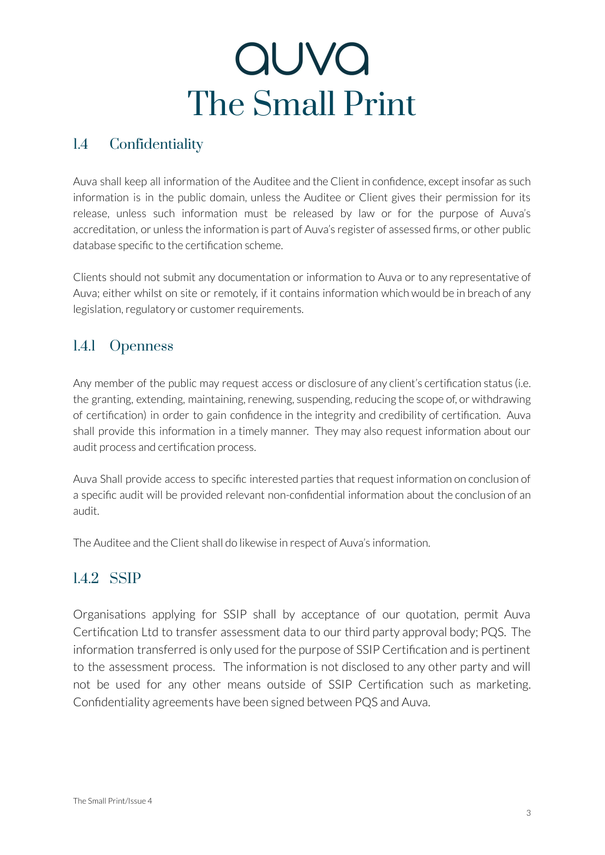### 1.4 Confidentiality

Auva shall keep all information of the Auditee and the Client in confidence, except insofar as such information is in the public domain, unless the Auditee or Client gives their permission for its release, unless such information must be released by law or for the purpose of Auva's accreditation, or unless the information is part of Auva's register of assessed firms, or other public database specific to the certification scheme.

Clients should not submit any documentation or information to Auva or to any representative of Auva; either whilst on site or remotely, if it contains information which would be in breach of any legislation, regulatory or customer requirements.

#### 1.4.1 Openness

Any member of the public may request access or disclosure of any client's certification status (i.e. the granting, extending, maintaining, renewing, suspending, reducing the scope of, or withdrawing of certification) in order to gain confidence in the integrity and credibility of certification. Auva shall provide this information in a timely manner. They may also request information about our audit process and certification process.

Auva Shall provide access to specific interested parties that request information on conclusion of a specific audit will be provided relevant non-confidential information about the conclusion of an audit.

The Auditee and the Client shall do likewise in respect of Auva's information.

#### 1.4.2 SSIP

Organisations applying for SSIP shall by acceptance of our quotation, permit Auva Certification Ltd to transfer assessment data to our third party approval body; PQS. The information transferred is only used for the purpose of SSIP Certification and is pertinent to the assessment process. The information is not disclosed to any other party and will not be used for any other means outside of SSIP Certification such as marketing. Confidentiality agreements have been signed between PQS and Auva.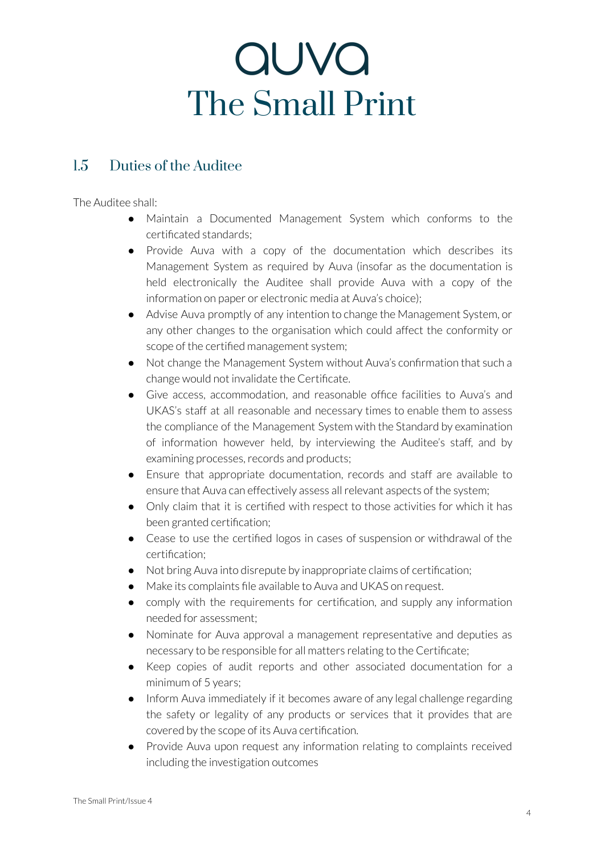### 1.5 Duties of the Auditee

The Auditee shall:

- Maintain a Documented Management System which conforms to the certificated standards;
- Provide Auva with a copy of the documentation which describes its Management System as required by Auva (insofar as the documentation is held electronically the Auditee shall provide Auva with a copy of the information on paper or electronic media at Auva's choice);
- Advise Auva promptly of any intention to change the Management System, or any other changes to the organisation which could affect the conformity or scope of the certified management system;
- Not change the Management System without Auva's confirmation that such a change would not invalidate the Certificate.
- Give access, accommodation, and reasonable office facilities to Auva's and UKAS's staff at all reasonable and necessary times to enable them to assess the compliance of the Management System with the Standard by examination of information however held, by interviewing the Auditee's staff, and by examining processes, records and products;
- Ensure that appropriate documentation, records and staff are available to ensure that Auva can effectively assess all relevant aspects of the system;
- Only claim that it is certified with respect to those activities for which it has been granted certification;
- Cease to use the certified logos in cases of suspension or withdrawal of the certification;
- Not bring Auva into disrepute by inappropriate claims of certification;
- Make its complaints file available to Auva and UKAS on request.
- comply with the requirements for certification, and supply any information needed for assessment;
- Nominate for Auva approval a management representative and deputies as necessary to be responsible for all matters relating to the Certificate;
- Keep copies of audit reports and other associated documentation for a minimum of 5 years;
- Inform Auva immediately if it becomes aware of any legal challenge regarding the safety or legality of any products or services that it provides that are covered by the scope of its Auva certification.
- Provide Auva upon request any information relating to complaints received including the investigation outcomes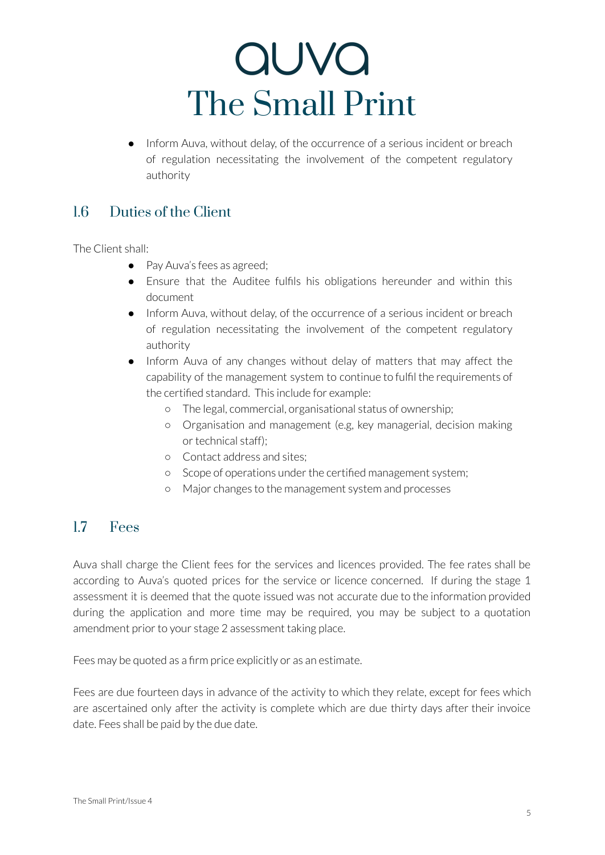● Inform Auva, without delay, of the occurrence of a serious incident or breach of regulation necessitating the involvement of the competent regulatory authority

#### 1.6 Duties of the Client

The Client shall:

- Pay Auva's fees as agreed;
- Ensure that the Auditee fulfils his obligations hereunder and within this document
- Inform Auva, without delay, of the occurrence of a serious incident or breach of regulation necessitating the involvement of the competent regulatory authority
- Inform Auva of any changes without delay of matters that may affect the capability of the management system to continue to fulfil the requirements of the certified standard. This include for example:
	- The legal, commercial, organisational status of ownership;
	- Organisation and management (e.g, key managerial, decision making ortechnical staff);
	- Contact address and sites;
	- Scope of operations underthe certified management system;
	- Major changes to the management system and processes

#### 1.7 Fees

Auva shall charge the Client fees for the services and licences provided. The fee rates shall be according to Auva's quoted prices for the service or licence concerned. If during the stage 1 assessment it is deemed that the quote issued was not accurate due to the information provided during the application and more time may be required, you may be subject to a quotation amendment prior to your stage 2 assessment taking place.

Fees may be quoted as a firm price explicitly or as an estimate.

Fees are due fourteen days in advance of the activity to which they relate, except for fees which are ascertained only after the activity is complete which are due thirty days after their invoice date. Fees shall be paid by the due date.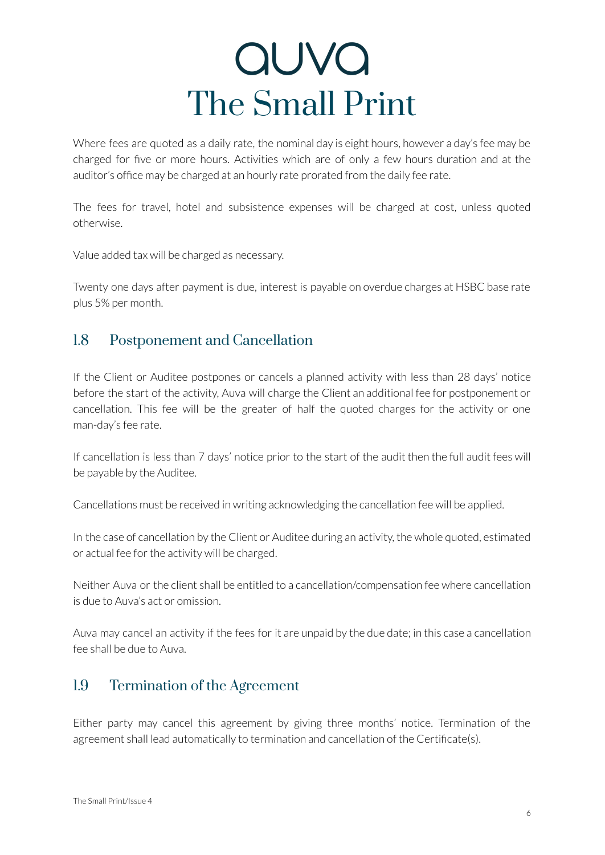Where fees are quoted as a daily rate, the nominal day is eight hours, however a day's fee may be charged for five or more hours. Activities which are of only a few hours duration and at the auditor's office may be charged at an hourly rate prorated from the daily fee rate.

The fees for travel, hotel and subsistence expenses will be charged at cost, unless quoted otherwise.

Value added tax will be charged as necessary.

Twenty one days after payment is due, interest is payable on overdue charges at HSBC base rate plus 5% per month.

#### 1.8 Postponement and Cancellation

If the Client or Auditee postpones or cancels a planned activity with less than 28 days' notice before the start of the activity, Auva will charge the Client an additional fee for postponement or cancellation. This fee will be the greater of half the quoted charges for the activity or one man-day's fee rate.

If cancellation is less than 7 days' notice prior to the start of the audit then the full audit fees will be payable by the Auditee.

Cancellations must be received in writing acknowledging the cancellation fee will be applied.

In the case of cancellation by the Client or Auditee during an activity, the whole quoted, estimated or actual fee for the activity will be charged.

Neither Auva or the client shall be entitled to a cancellation/compensation fee where cancellation is due to Auva's act or omission.

Auva may cancel an activity if the fees for it are unpaid by the due date; in this case a cancellation fee shall be due to Auva.

#### 1.9 Termination of the Agreement

Either party may cancel this agreement by giving three months' notice. Termination of the agreement shall lead automatically to termination and cancellation of the Certificate(s).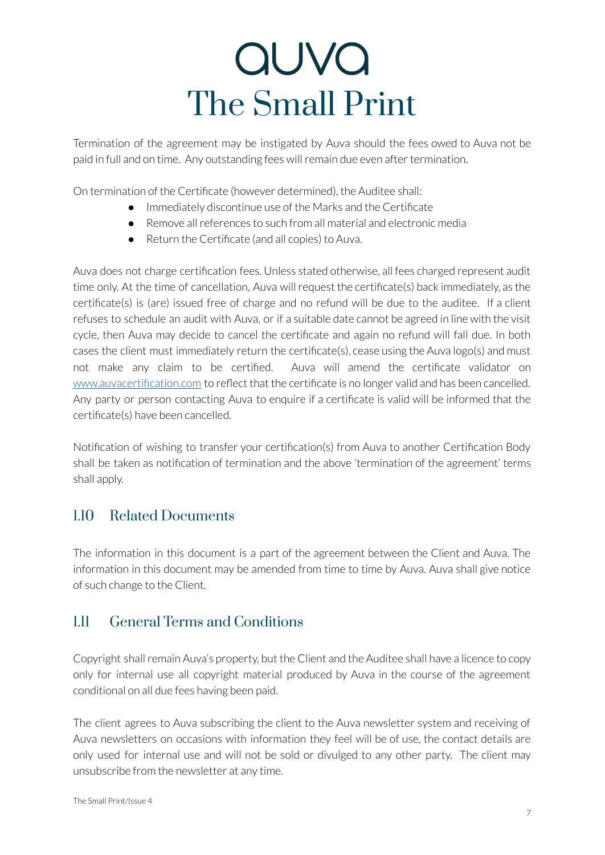Termination of the agreement may be instigated by Auva should the fees owed to Auva not be paid in full and on time. Any outstanding fees will remain due even after termination.

On termination of the Certificate (however determined), the Auditee shall:

- Immediately discontinue use of the Marks and the Certificate
- Remove allreferences to such from all material and electronic media
- Return the Certificate (and all copies) to Auva.

Auva does not charge certification fees. Unless stated otherwise, all fees charged represent audit time only. At the time of cancellation, Auva will request the certificate(s) back immediately, as the certificate(s) is (are) issued free of charge and no refund will be due to the auditee. If a client refuses to schedule an audit with Auva, or if a suitable date cannot be agreed in line with the visit cycle, then Auva may decide to cancel the certificate and again no refund will fall due. In both cases the client must immediately return the certificate(s), cease using the Auva logo(s) and must not make any claim to be certified. Auva will amend the certificate validator o[n](http://www.auvacertification.com) [www.auvacertification.com](http://www.auvacertification.com) to reflect that the certificate is no longer valid and has been cancelled. Any party or person contacting Auva to enquire if a certificate is valid will be informed that the certificate(s) have been cancelled.

Notification of wishing to transfer your certification(s) from Auva to another Certification Body shall be taken as notification of termination and the above 'termination of the agreement' terms shall apply.

#### 1.10 Related Documents

The information in this document is a part of the agreement between the Client and Auva. The information in this document may be amended from time to time by Auva. Auva shall give notice of such change to the Client.

### 1.11 General Terms and Conditions

Copyright shall remain Auva's property, but the Client and the Auditee shall have a licence to copy only for internal use all copyright material produced by Auva in the course of the agreement conditional on all due fees having been paid.

The client agrees to Auva subscribing the client to the Auva newsletter system and receiving of Auva newsletters on occasions with information they feel will be of use, the contact details are only used for internal use and will not be sold or divulged to any other party. The client may unsubscribe from the newsletter at any time.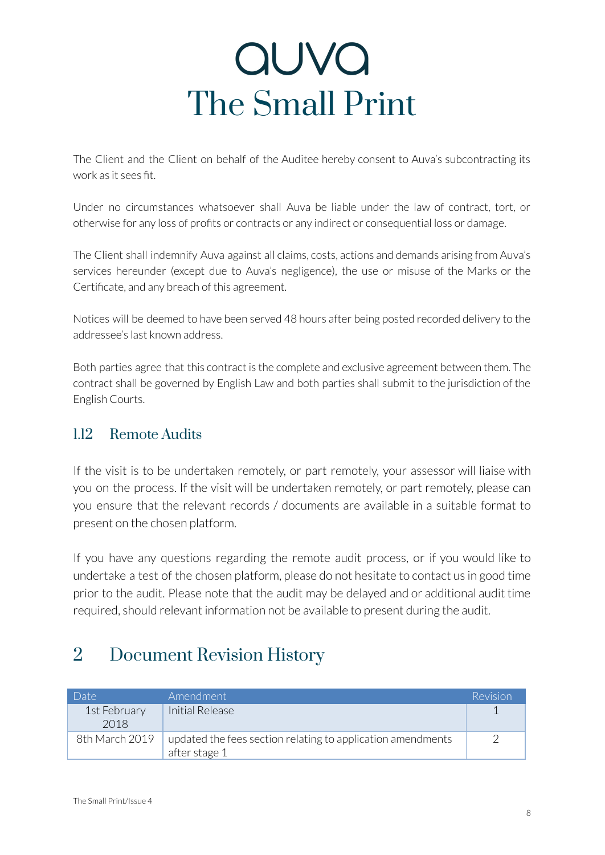The Client and the Client on behalf of the Auditee hereby consent to Auva's subcontracting its work as it sees fit.

Under no circumstances whatsoever shall Auva be liable under the law of contract, tort, or otherwise for any loss of profits or contracts or any indirect or consequential loss or damage.

The Client shall indemnify Auva against all claims, costs, actions and demands arising from Auva's services hereunder (except due to Auva's negligence), the use or misuse of the Marks or the Certificate, and any breach of this agreement.

Notices will be deemed to have been served 48 hours after being posted recorded delivery to the addressee's last known address.

Both parties agree that this contract is the complete and exclusive agreement between them. The contract shall be governed by English Law and both parties shall submit to the jurisdiction of the English Courts.

### 1.12 Remote Audits

If the visit is to be undertaken remotely, or part remotely, your assessor will liaise with you on the process. If the visit will be undertaken remotely, or part remotely, please can you ensure that the relevant records / documents are available in a suitable format to present on the chosen platform.

If you have any questions regarding the remote audit process, or if you would like to undertake a test of the chosen platform, please do not hesitate to contact us in good time prior to the audit. Please note that the audit may be delayed and or additional audit time required, should relevant information not be available to present during the audit.

### 2 Document Revision History

| Date <sup>1</sup>    | Amendment                                                                    | Revision |
|----------------------|------------------------------------------------------------------------------|----------|
| 1st February<br>2018 | Initial Release                                                              |          |
| 8th March 2019       | updated the fees section relating to application amendments<br>after stage 1 |          |